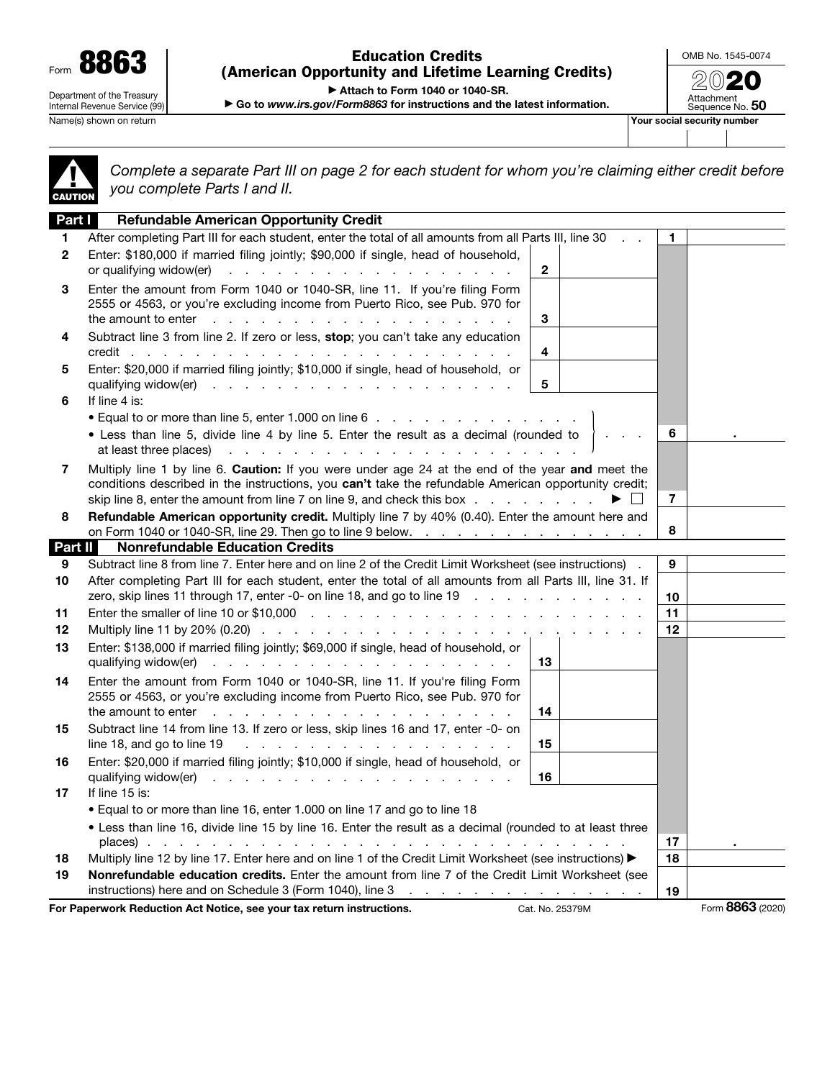Form 8863 Department of the Treasury Internal Revenue Service (99)

Name(s) shown on return **Your social security number**  $\blacksquare$ 

Education Credits (American Opportunity and Lifetime Learning Credits) OMB No. 1545-0074 2020

Attachment<br>Sequence No. **50** 

▶ Attach to Form 1040 or 1040-SR.

▶ Go to *www.irs.gov/Form8863* for instructions and the latest information.

▲! CAUTION

*Complete a separate Part III on page 2 for each student for whom you're claiming either credit before you complete Parts I and II.*

| Part I       | <b>Refundable American Opportunity Credit</b>                                                                                                                                                                                                                                                                                                                   |                                |                  |
|--------------|-----------------------------------------------------------------------------------------------------------------------------------------------------------------------------------------------------------------------------------------------------------------------------------------------------------------------------------------------------------------|--------------------------------|------------------|
| 1.           | After completing Part III for each student, enter the total of all amounts from all Parts III, line 30                                                                                                                                                                                                                                                          | 1                              |                  |
| $\mathbf{2}$ | Enter: \$180,000 if married filing jointly; \$90,000 if single, head of household,<br>or qualifying widow(er)<br>$\mathbf{2}$<br>and the contract of the contract of the contract of the contract of the contract of the contract of the contract of the contract of the contract of the contract of the contract of the contract of the contract of the contra |                                |                  |
| 3            | Enter the amount from Form 1040 or 1040-SR, line 11. If you're filing Form<br>2555 or 4563, or you're excluding income from Puerto Rico, see Pub. 970 for<br>the amount to enter $\cdots$ $\cdots$ $\cdots$ $\cdots$ $\cdots$ $\cdots$ $\cdots$ $\cdots$<br>3                                                                                                   |                                |                  |
| 4            | Subtract line 3 from line 2. If zero or less, stop; you can't take any education<br>4                                                                                                                                                                                                                                                                           |                                |                  |
| 5            | Enter: \$20,000 if married filing jointly; \$10,000 if single, head of household, or<br>5                                                                                                                                                                                                                                                                       |                                |                  |
| 6            | If line 4 is:                                                                                                                                                                                                                                                                                                                                                   |                                |                  |
|              | • Equal to or more than line 5, enter 1.000 on line 6                                                                                                                                                                                                                                                                                                           |                                |                  |
|              | . Less than line 5, divide line 4 by line 5. Enter the result as a decimal (rounded to<br>at least three places)<br>the contract of the contract of the contract of the contract of the contract of                                                                                                                                                             | 6                              |                  |
| 7            | Multiply line 1 by line 6. Caution: If you were under age 24 at the end of the year and meet the<br>conditions described in the instructions, you can't take the refundable American opportunity credit;<br>skip line 8, enter the amount from line 7 on line 9, and check this box                                                                             | $\overline{7}$<br>$\mathbf{1}$ |                  |
| 8            | Refundable American opportunity credit. Multiply line 7 by 40% (0.40). Enter the amount here and                                                                                                                                                                                                                                                                |                                |                  |
|              | on Form 1040 or 1040-SR, line 29. Then go to line 9 below.<br><b>Nonrefundable Education Credits</b>                                                                                                                                                                                                                                                            | 8                              |                  |
| Part II      |                                                                                                                                                                                                                                                                                                                                                                 | 9                              |                  |
| 9<br>10      | Subtract line 8 from line 7. Enter here and on line 2 of the Credit Limit Worksheet (see instructions).<br>After completing Part III for each student, enter the total of all amounts from all Parts III, line 31. If                                                                                                                                           |                                |                  |
|              | zero, skip lines 11 through 17, enter -0- on line 18, and go to line 19                                                                                                                                                                                                                                                                                         | 10                             |                  |
| 11           |                                                                                                                                                                                                                                                                                                                                                                 | 11                             |                  |
| $12 \,$      |                                                                                                                                                                                                                                                                                                                                                                 | 12                             |                  |
| 13           | Enter: \$138,000 if married filing jointly; \$69,000 if single, head of household, or<br>qualifying widow(er)<br>13                                                                                                                                                                                                                                             |                                |                  |
| 14           | Enter the amount from Form 1040 or 1040-SR, line 11. If you're filing Form<br>2555 or 4563, or you're excluding income from Puerto Rico, see Pub. 970 for                                                                                                                                                                                                       |                                |                  |
|              | 14                                                                                                                                                                                                                                                                                                                                                              |                                |                  |
| 15           | Subtract line 14 from line 13. If zero or less, skip lines 16 and 17, enter -0- on<br>line 18, and go to line 19 $\ldots$ $\ldots$ $\ldots$ $\ldots$ $\ldots$ $\ldots$ $\ldots$ $\ldots$<br>15                                                                                                                                                                  |                                |                  |
| 16           | Enter: \$20,000 if married filing jointly; \$10,000 if single, head of household, or<br>16                                                                                                                                                                                                                                                                      |                                |                  |
| 17           | If line 15 is:                                                                                                                                                                                                                                                                                                                                                  |                                |                  |
|              | • Equal to or more than line 16, enter 1.000 on line 17 and go to line 18                                                                                                                                                                                                                                                                                       |                                |                  |
|              | . Less than line 16, divide line 15 by line 16. Enter the result as a decimal (rounded to at least three                                                                                                                                                                                                                                                        |                                |                  |
|              | places)                                                                                                                                                                                                                                                                                                                                                         | 17                             |                  |
| 18           | Multiply line 12 by line 17. Enter here and on line 1 of the Credit Limit Worksheet (see instructions) ▶                                                                                                                                                                                                                                                        | 18                             |                  |
| 19           | Nonrefundable education credits. Enter the amount from line 7 of the Credit Limit Worksheet (see                                                                                                                                                                                                                                                                |                                |                  |
|              |                                                                                                                                                                                                                                                                                                                                                                 | 19                             |                  |
|              | For Paperwork Reduction Act Notice, see your tax return instructions.<br>Cat. No. 25379M                                                                                                                                                                                                                                                                        |                                | Form 8863 (2020) |